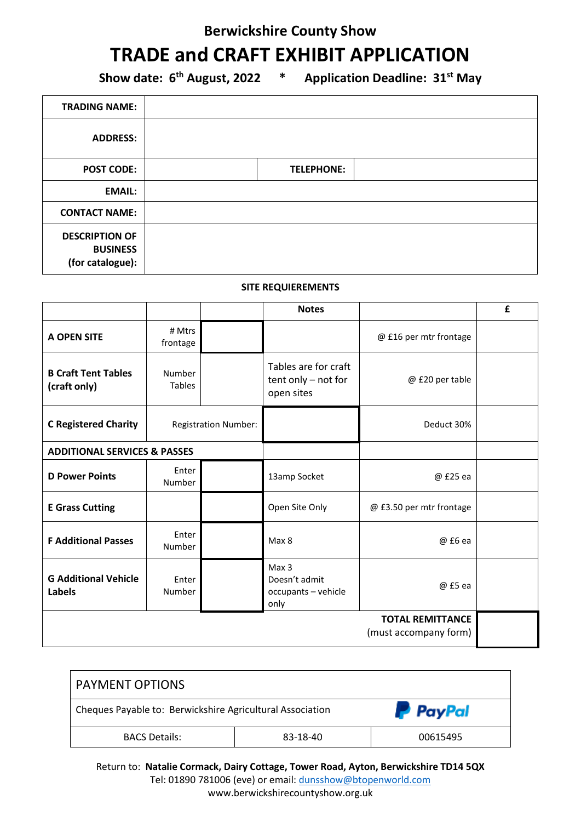### **Berwickshire County Show**

## **TRADE and CRAFT EXHIBIT APPLICATION**

**Show date: 6th August, 2022 \* Application Deadline: 31st May**

| <b>TRADING NAME:</b>                                         |                   |
|--------------------------------------------------------------|-------------------|
| <b>ADDRESS:</b>                                              |                   |
| <b>POST CODE:</b>                                            | <b>TELEPHONE:</b> |
| <b>EMAIL:</b>                                                |                   |
| <b>CONTACT NAME:</b>                                         |                   |
| <b>DESCRIPTION OF</b><br><b>BUSINESS</b><br>(for catalogue): |                   |

#### **SITE REQUIEREMENTS**

|                                            |                             |  | <b>Notes</b>                                                  |                                                  | £ |
|--------------------------------------------|-----------------------------|--|---------------------------------------------------------------|--------------------------------------------------|---|
| <b>A OPEN SITE</b>                         | # Mtrs<br>frontage          |  |                                                               | @ £16 per mtr frontage                           |   |
| <b>B Craft Tent Tables</b><br>(craft only) | Number<br><b>Tables</b>     |  | Tables are for craft<br>$tent$ only $-$ not for<br>open sites | @ £20 per table                                  |   |
| <b>C Registered Charity</b>                | <b>Registration Number:</b> |  |                                                               | Deduct 30%                                       |   |
| <b>ADDITIONAL SERVICES &amp; PASSES</b>    |                             |  |                                                               |                                                  |   |
| <b>D Power Points</b>                      | Enter<br>Number             |  | 13amp Socket                                                  | @ £25 ea                                         |   |
| <b>E Grass Cutting</b>                     |                             |  | Open Site Only                                                | @ £3.50 per mtr frontage                         |   |
| <b>F Additional Passes</b>                 | Enter<br>Number             |  | Max 8                                                         | @ £6 ea                                          |   |
| <b>G Additional Vehicle</b><br>Labels      | Enter<br>Number             |  | Max 3<br>Doesn't admit<br>occupants - vehicle<br>only         | @ £5 ea                                          |   |
|                                            |                             |  |                                                               | <b>TOTAL REMITTANCE</b><br>(must accompany form) |   |

| <b>PAYMENT OPTIONS</b>                                    |          |                 |
|-----------------------------------------------------------|----------|-----------------|
| Cheques Payable to: Berwickshire Agricultural Association |          | <b>P</b> PayPal |
| <b>BACS Details:</b>                                      | 83-18-40 | 00615495        |

Return to: **Natalie Cormack, Dairy Cottage, Tower Road, Ayton, Berwickshire TD14 5QX** Tel: 01890 781006 (eve) or email: dunsshow@btopenworld.com www.berwickshirecountyshow.org.uk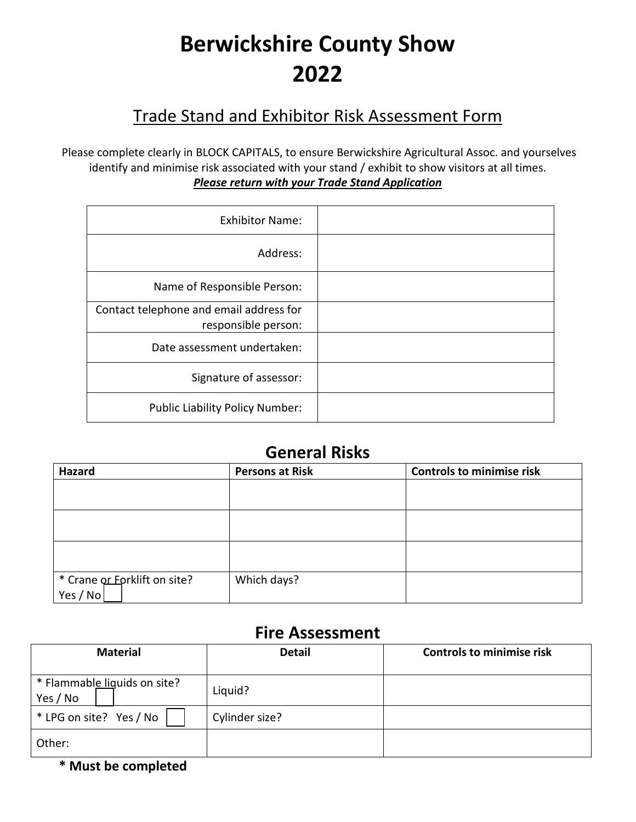# **Berwickshire County Show 2022**

### Trade Stand and Exhibitor Risk Assessment Form

Please complete clearly in BLOCK CAPITALS, to ensure Berwickshire Agricultural Assoc. and yourselves identify and minimise risk associated with your stand / exhibit to show visitors at all times. *Please return with your Trade Stand Application*

| <b>Exhibitor Name:</b>                                         |  |
|----------------------------------------------------------------|--|
| Address:                                                       |  |
| Name of Responsible Person:                                    |  |
| Contact telephone and email address for<br>responsible person: |  |
| Date assessment undertaken:                                    |  |
| Signature of assessor:                                         |  |
| <b>Public Liability Policy Number:</b>                         |  |

### **General Risks**

| Hazard                       | <b>Persons at Risk</b> | <b>Controls to minimise risk</b> |
|------------------------------|------------------------|----------------------------------|
|                              |                        |                                  |
|                              |                        |                                  |
|                              |                        |                                  |
|                              |                        |                                  |
|                              |                        |                                  |
|                              |                        |                                  |
| * Crane or Eorklift on site? | Which days?            |                                  |
| Yes / No                     |                        |                                  |

### **Fire Assessment**

| <b>Material</b>                          | <b>Detail</b>  | <b>Controls to minimise risk</b> |
|------------------------------------------|----------------|----------------------------------|
| * Flammable liguids on site?<br>Yes / No | Liquid?        |                                  |
| * LPG on site? Yes / No                  | Cylinder size? |                                  |
| Other:                                   |                |                                  |

**\* Must be completed**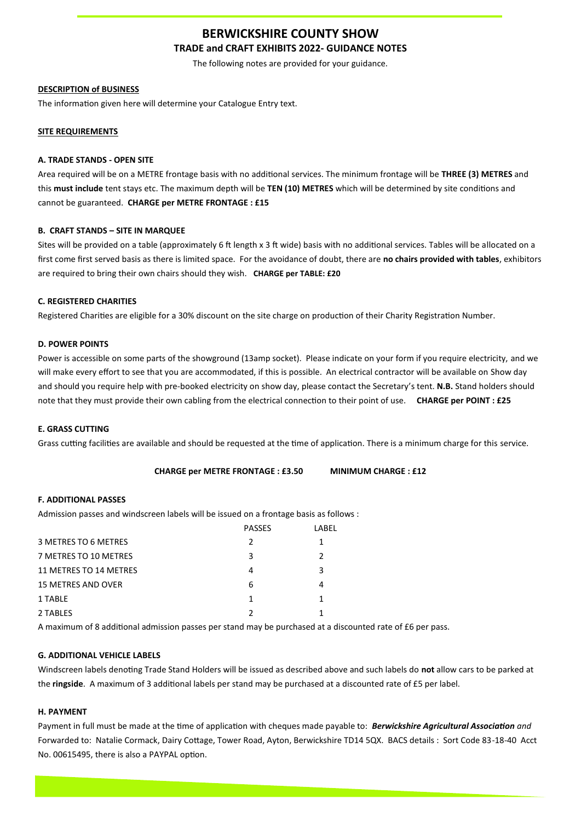#### **BERWICKSHIRE COUNTY SHOW TRADE and CRAFT EXHIBITS 2022- GUIDANCE NOTES**

The following notes are provided for your guidance.

#### **DESCRIPTION of BUSINESS**

The information given here will determine your Catalogue Entry text.

#### **SITE REQUIREMENTS**

#### **A. TRADE STANDS - OPEN SITE**

Area required will be on a METRE frontage basis with no additional services. The minimum frontage will be **THREE (3) METRES** and this **must include** tent stays etc. The maximum depth will be **TEN (10) METRES** which will be determined by site conditions and cannot be guaranteed. **CHARGE per METRE FRONTAGE : £15**

#### **B. CRAFT STANDS – SITE IN MARQUEE**

Sites will be provided on a table (approximately 6 ft length x 3 ft wide) basis with no additional services. Tables will be allocated on a first come first served basis as there is limited space. For the avoidance of doubt, there are **no chairs provided with tables**, exhibitors are required to bring their own chairs should they wish. **CHARGE per TABLE: £20**

#### **C. REGISTERED CHARITIES**

Registered Charities are eligible for a 30% discount on the site charge on production of their Charity Registration Number.

#### **D. POWER POINTS**

Power is accessible on some parts of the showground (13amp socket). Please indicate on your form if you require electricity, and we will make every effort to see that you are accommodated, if this is possible. An electrical contractor will be available on Show day and should you require help with pre-booked electricity on show day, please contact the Secretary's tent. **N.B.** Stand holders should note that they must provide their own cabling from the electrical connection to their point of use. **CHARGE per POINT : £25**

#### **E. GRASS CUTTING**

Grass cutting facilities are available and should be requested at the time of application. There is a minimum charge for this service.

**CHARGE per METRE FRONTAGE : £3.50 MINIMUM CHARGE : £12**

#### **F. ADDITIONAL PASSES**

Admission passes and windscreen labels will be issued on a frontage basis as follows :

| <b>PASSES</b> | I ABFI        |
|---------------|---------------|
| 2             |               |
| 3             | $\mathcal{P}$ |
| 4             | 3             |
| 6             | 4             |
|               |               |
|               |               |
|               |               |

A maximum of 8 additional admission passes per stand may be purchased at a discounted rate of £6 per pass.

#### **G. ADDITIONAL VEHICLE LABELS**

Windscreen labels denoting Trade Stand Holders will be issued as described above and such labels do **not** allow cars to be parked at the **ringside**. A maximum of 3 additional labels per stand may be purchased at a discounted rate of £5 per label.

#### **H. PAYMENT**

Payment in full must be made at the time of application with cheques made payable to: *Berwickshire Agricultural Association and*  Forwarded to: Natalie Cormack, Dairy Cottage, Tower Road, Ayton, Berwickshire TD14 5QX. BACS details : Sort Code 83-18-40 Acct No. 00615495, there is also a PAYPAL option.